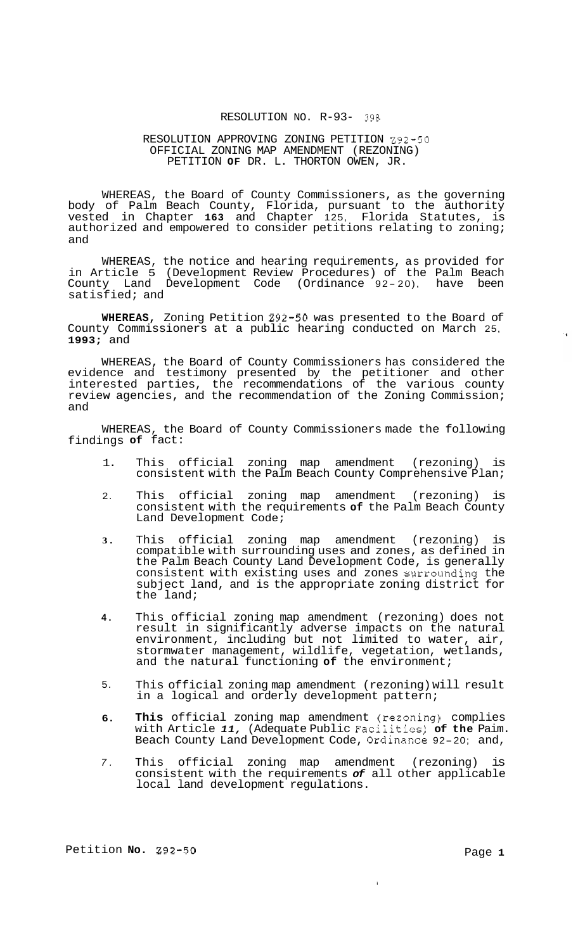### RESOLUTION NO. R-93- *398*

## RESOLUTION APPROVING ZONING PETITION 292-50 PETITION **OF** DR. L. THORTON OWEN, JR. OFFICIAL ZONING MAP AMENDMENT (REZONING)

WHEREAS, the Board of County Commissioners, as the governing body of Palm Beach County, Florida, pursuant to the authority vested in Chapter **163** and Chapter 125, Florida Statutes, is authorized and empowered to consider petitions relating to zoning; and

WHEREAS, the notice and hearing requirements, as provided for in Article 5 (Development Review Procedures) of the Palm Beach County Land Development Code (Ordinance <sup>92</sup> - 20), have been satisfied; and

**WHEREAS,** Zoning Petition 292-50 was presented to the Board of County Commissioners at a public hearing conducted on March 25, **1993;** and

WHEREAS, the Board of County Commissioners has considered the evidence and testimony presented by the petitioner and other interested parties, the recommendations of the various county review agencies, and the recommendation of the Zoning Commission; and

WHEREAS, the Board of County Commissioners made the following findings **of** fact:

- 1. This official zoning map amendment (rezoning) is consistent with the Palm Beach County Comprehensive Plan;
- 2. This official zoning map amendment (rezoning) is consistent with the requirements **of** the Palm Beach County Land Development Code;
- **3.**  This official zoning map amendment (rezoning) is compatible with surrounding uses and zones, as defined in the Palm Beach County Land Development Code, is generally consistent with existing uses and zones swrounding the subject land, and is the appropriate zoning district for the land;
- **4.**  This official zoning map amendment (rezoning) does not result in significantly adverse impacts on the natural environment, including but not limited to water, air, stormwater management, wildlife, vegetation, wetlands, and the natural functioning **of** the environment;
- 5. This official zoning map amendment (rezoning) will result in a logical and orderly development pattern;
- **6. This** official zoning map amendment (rezoaing) complies with Article *11,* (Adequate Public Faciiitios; **of the** Paim. Beach County Land Development Code, Ordinaxe 92-20; and,
- *7.*  This official zoning map amendment (rezoning) consistent with the requirements *of* all other applicable local land development regulations.

 $\mathbf{I}$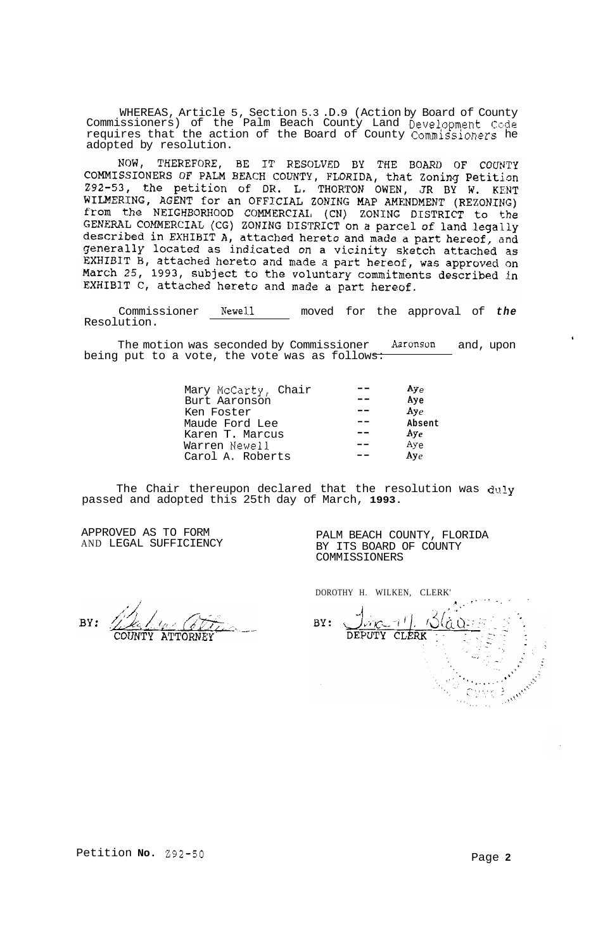WHEREAS, Article 5, Section 5.3 .D.9 (Action by Board of County Commissioners) of the Palm Beach County Land Development Code requires that the action of the Board of County Commissioners he adopted by resolution.

NOW, THEREFORE, BE IT RESOLVED BY THE BOARD OF COUNTY COMMISSIONERS OF PALM BEACH COUNTY, FLORIDA, that Zoning Petition Z92-53, the petition of DR. L. THORTON OWEN, JR BY W. KENT WILMERING, AGENT for an OFFICIAL ZONING MAP AMENDMENT (REZONING) from the NEIGHBORHOOD COMMERCIAL (CN) ZONING DISTRICT to the GENERAL COMMERCIAL (CG) ZONING DISTRICT on a parcel of land legally described in EXHIBIT A, attached hereto and made a part hereof, and generally located as indicated on a vicinity sketch attached as EXHIBIT B, attached hereto and made a part hereof, was approved on March 25, 1993, subject to the voluntary commitments described in EXHIBIT C, attached hereto and made a part hereof.

Commissioner Newell moved for the approval of *the*  Resolution.

The motion was seconded by Commissioner **Aaronson** and, upon being put to a vote, the vote was as follows:

| Mary McCarty, Chair<br>Burt Aaronson<br>Ken Foster | م Ay<br>Ay <sub>e</sub><br>$\mathbf{A}\mathbf{y}_e$ |
|----------------------------------------------------|-----------------------------------------------------|
| Maude Ford Lee                                     | Absent                                              |
| Karen T. Marcus                                    | $Ay_e$                                              |
| Warren Newell                                      | $Ay_{e}$                                            |
| Carol A. Roberts                                   | $A y_{\rho}$                                        |

The Chair thereupon declared that the resolution was duly passed and adopted this 25th day of March, **1993.** 

APPROVED AS TO FORM AND LEGAL SUFFICIENCY

PALM BEACH COUNTY, FLORIDA BY ITS BOARD OF COUNTY COMMISSIONERS

DOROTHY H. WILKEN, CLERK'

, + **,I**   $\mathcal{F}^{\mathcal{F}}$  $\overline{K}$ BY: DEPUTY CLERK

BY: **ATTORNEY** 

 $\bullet$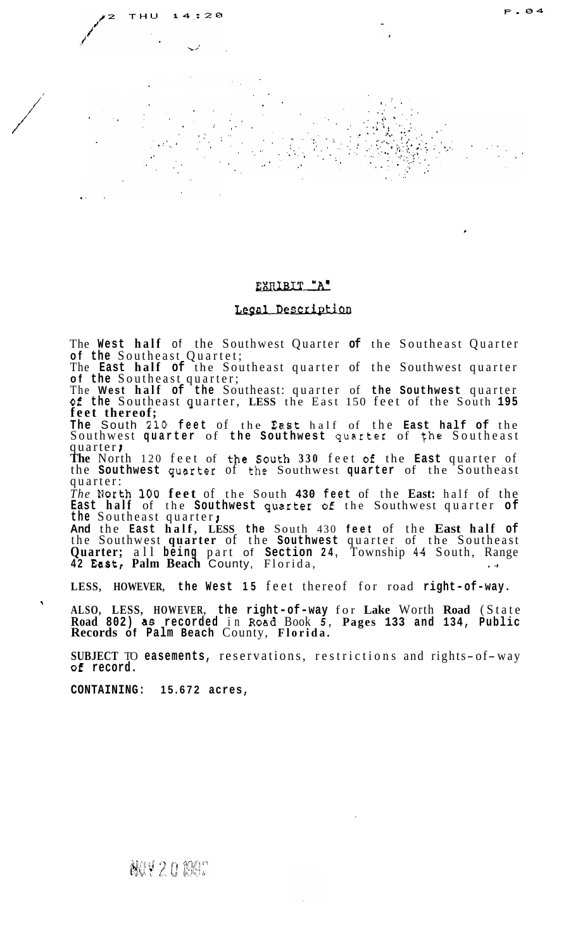# EXRIBIT "A"

4

Т

 $: 20$ 

P.04

# Legal Description

The **West half** of the Southwest Quarter **of** the Southeast Quarter **of the** Southeast Quartet;

The **East half of** the Southeast quarter of the Southwest quarter of the Southeast quarter;<br>The West half of the Southeast: quarter of the Southwest quarter

The **West half of the** Southeast: quarter of **the Southwest** quarter of **the** Southeast quarter, - **LESS** the East 150 feet of the South **<sup>195</sup> feet thereof;** 

**The** South **210 feet** of the **Ea.st** half of the **East half of** the Southwest **quarter** of **the Southwest qcarter** of **fhe** Southeast quarter **<sup>I</sup>**

**The** North 120 feet of the **South 330** feet of the **East** quarter of the **Southwest** qusrter of the Southwest **quarter** of the Southeast quarter:

*The* liorth **100 feet** of the South **430 feet** of the **East:** half of the **East half** of the **Southwest** quzrter **of** the Southwest quarter **of the** Southeast quarter **<sup>J</sup>**

**And** the **East half, LESS the** South 430 **feet** of the **East half of**  the Southwest **quarter** of the **Southwest** quarter of the Southeast **Quarter;** all **being** part of **Section 24,** Township **44** South, Range **<sup>42</sup>East, Palm Beach** County, Florida, . '?

**LESS, HOWEVER, the West 15** feet thereof for road **right-of-way.** 

**ALSO, LESS, HOWEVER, the right-of-way** for **Lake** Worth **Road** (State **Road 802) as recorded** in **Road** Book *5,* **Pages 133 and 134, Public Records of Palm Beach** County, **Florida.** 

**SUBJECT** TO **easements**, reservations, restrictions and rights-of-way **of record.** 

**CONTAINING: 15.672 acres,** 

/ /'

 $\ddot{\phantom{1}}$ 

NOY 20 1997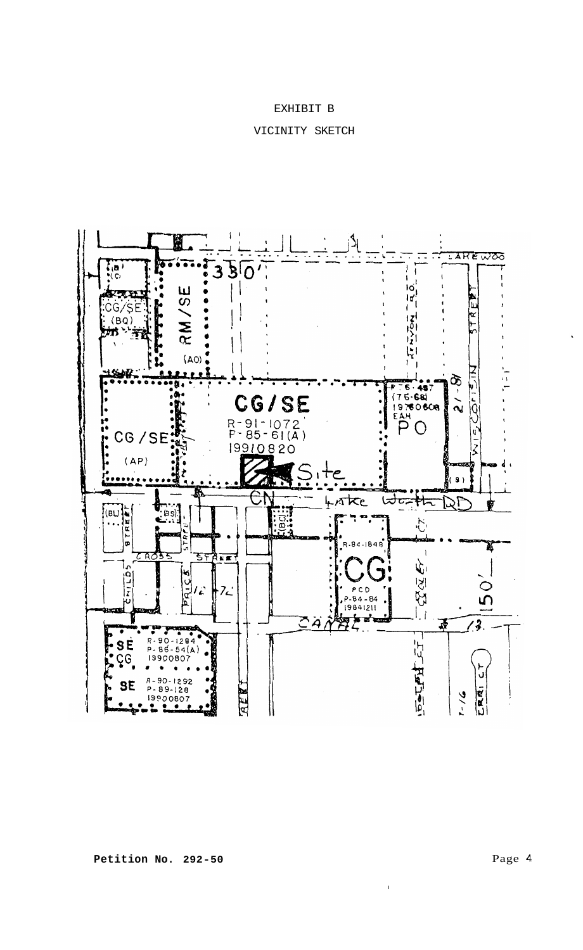# EXHIBIT B

# VICINITY SKETCH



I